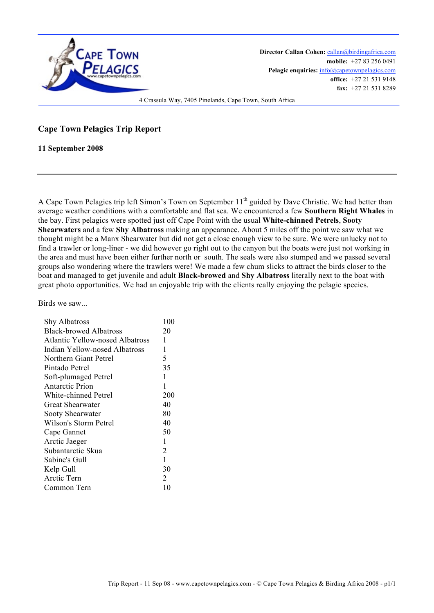

**Director Callan Cohen:** callan@birdingafrica.com **mobile: +**27 83 256 0491 Pelagic enquiries:  $info@capctownpelagics.com$ **office:** +27 21 531 9148 **fax:** +27 21 531 8289

4 Crassula Way, 7405 Pinelands, Cape Town, South Africa

## **Cape Town Pelagics Trip Report**

**11 September 2008**

A Cape Town Pelagics trip left Simon's Town on September 11<sup>th</sup> guided by Dave Christie. We had better than average weather conditions with a comfortable and flat sea. We encountered a few **Southern Right Whales** in the bay. First pelagics were spotted just off Cape Point with the usual **White-chinned Petrels**, **Sooty Shearwaters** and a few **Shy Albatross** making an appearance. About 5 miles off the point we saw what we thought might be a Manx Shearwater but did not get a close enough view to be sure. We were unlucky not to find a trawler or long-liner - we did however go right out to the canyon but the boats were just not working in the area and must have been either further north or south. The seals were also stumped and we passed several groups also wondering where the trawlers were! We made a few chum slicks to attract the birds closer to the boat and managed to get juvenile and adult **Black-browed** and **Shy Albatross** literally next to the boat with great photo opportunities. We had an enjoyable trip with the clients really enjoying the pelagic species.

Birds we saw...

|                                        | 100 |
|----------------------------------------|-----|
| Shy Albatross                          |     |
| <b>Black-browed Albatross</b>          | 20  |
| <b>Atlantic Yellow-nosed Albatross</b> | 1   |
| Indian Yellow-nosed Albatross          | 1   |
| Northern Giant Petrel                  | 5   |
| Pintado Petrel                         | 35  |
| Soft-plumaged Petrel                   | 1   |
| Antarctic Prion                        | 1   |
| White-chinned Petrel                   | 200 |
| Great Shearwater                       | 40  |
| Sooty Shearwater                       | 80  |
| Wilson's Storm Petrel                  | 40  |
| Cape Gannet                            | 50  |
| Arctic Jaeger                          | 1   |
| Subantarctic Skua                      | 2   |
| Sabine's Gull                          | 1   |
| Kelp Gull                              | 30  |
| Arctic Tern                            | 2   |
| Common Tern                            | 10  |